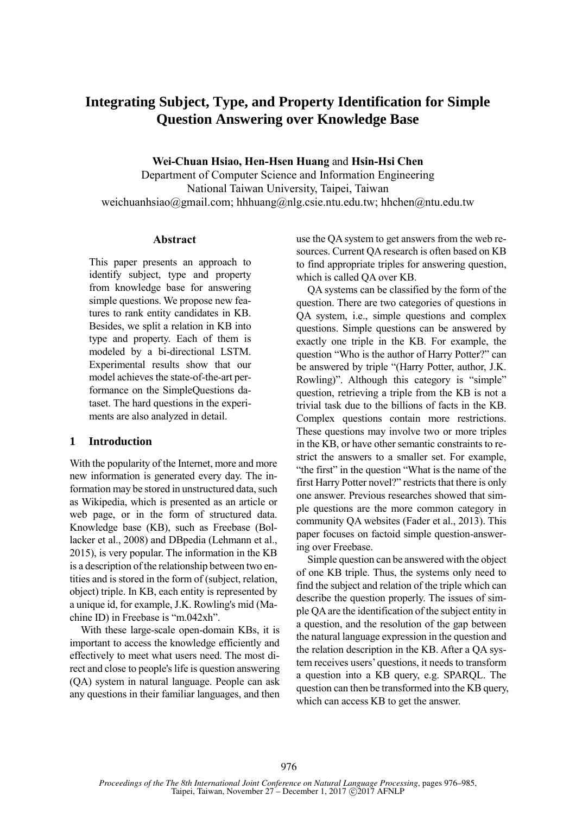# **Integrating Subject, Type, and Property Identification for Simple Question Answering over Knowledge Base**

**Wei-Chuan Hsiao, Hen-Hsen Huang** and **Hsin-Hsi Chen**

Department of Computer Science and Information Engineering National Taiwan University, Taipei, Taiwan weichuanhsiao@gmail.com; hhhuang@nlg.csie.ntu.edu.tw; hhchen@ntu.edu.tw

#### **Abstract**

This paper presents an approach to identify subject, type and property from knowledge base for answering simple questions. We propose new features to rank entity candidates in KB. Besides, we split a relation in KB into type and property. Each of them is modeled by a bi-directional LSTM. Experimental results show that our model achieves the state-of-the-art performance on the SimpleQuestions dataset. The hard questions in the experiments are also analyzed in detail.

## **1 Introduction**

With the popularity of the Internet, more and more new information is generated every day. The information may be stored in unstructured data, such as Wikipedia, which is presented as an article or web page, or in the form of structured data. Knowledge base (KB), such as Freebase (Bollacker et al., 2008) and DBpedia (Lehmann et al., 2015), is very popular. The information in the KB is a description of the relationship between two entities and is stored in the form of (subject, relation, object) triple. In KB, each entity is represented by a unique id, for example, J.K. Rowling's mid (Machine ID) in Freebase is "m.042xh".

With these large-scale open-domain KBs, it is important to access the knowledge efficiently and effectively to meet what users need. The most direct and close to people's life is question answering (QA) system in natural language. People can ask any questions in their familiar languages, and then

use the QA system to get answers from the web resources. Current QA research is often based on KB to find appropriate triples for answering question, which is called QA over KB.

QA systems can be classified by the form of the question. There are two categories of questions in QA system, i.e., simple questions and complex questions. Simple questions can be answered by exactly one triple in the KB. For example, the question "Who is the author of Harry Potter?" can be answered by triple "(Harry Potter, author, J.K. Rowling)". Although this category is "simple" question, retrieving a triple from the KB is not a trivial task due to the billions of facts in the KB. Complex questions contain more restrictions. These questions may involve two or more triples in the KB, or have other semantic constraints to restrict the answers to a smaller set. For example, "the first" in the question "What is the name of the first Harry Potter novel?" restricts that there is only one answer. Previous researches showed that simple questions are the more common category in community QA websites (Fader et al., 2013). This paper focuses on factoid simple question-answering over Freebase.

Simple question can be answered with the object of one KB triple. Thus, the systems only need to find the subject and relation of the triple which can describe the question properly. The issues of simple QA are the identification of the subject entity in a question, and the resolution of the gap between the natural language expression in the question and the relation description in the KB. After a QA system receives users' questions, it needs to transform a question into a KB query, e.g. SPARQL. The question can then be transformed into the KB query, which can access KB to get the answer.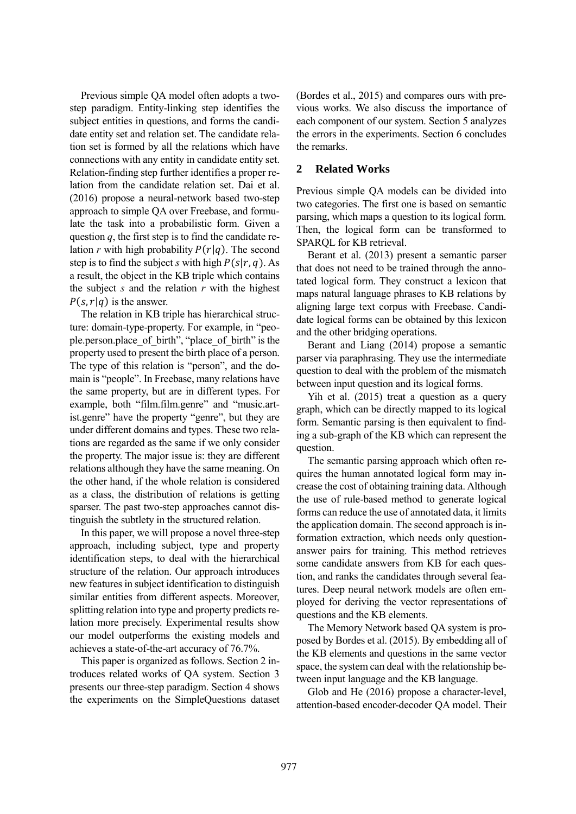Previous simple QA model often adopts a twostep paradigm. Entity-linking step identifies the subject entities in questions, and forms the candidate entity set and relation set. The candidate relation set is formed by all the relations which have connections with any entity in candidate entity set. Relation-finding step further identifies a proper relation from the candidate relation set. Dai et al. (2016) propose a neural-network based two-step approach to simple QA over Freebase, and formulate the task into a probabilistic form. Given a question  $q$ , the first step is to find the candidate relation *r* with high probability  $P(r|q)$ . The second step is to find the subject *s* with high  $P(s|r, a)$ . As a result, the object in the KB triple which contains the subject *s* and the relation *r* with the highest  $P(s, r | q)$  is the answer.

The relation in KB triple has hierarchical structure: domain-type-property. For example, in "people.person.place\_of\_birth", "place\_of\_birth" is the property used to present the birth place of a person. The type of this relation is "person", and the domain is "people". In Freebase, many relations have the same property, but are in different types. For example, both "film.film.genre" and "music.artist.genre" have the property "genre", but they are under different domains and types. These two relations are regarded as the same if we only consider the property. The major issue is: they are different relations although they have the same meaning. On the other hand, if the whole relation is considered as a class, the distribution of relations is getting sparser. The past two-step approaches cannot distinguish the subtlety in the structured relation.

In this paper, we will propose a novel three-step approach, including subject, type and property identification steps, to deal with the hierarchical structure of the relation. Our approach introduces new features in subject identification to distinguish similar entities from different aspects. Moreover, splitting relation into type and property predicts relation more precisely. Experimental results show our model outperforms the existing models and achieves a state-of-the-art accuracy of 76.7%.

This paper is organized as follows. Section 2 introduces related works of QA system. Section 3 presents our three-step paradigm. Section 4 shows the experiments on the SimpleQuestions dataset (Bordes et al., 2015) and compares ours with previous works. We also discuss the importance of each component of our system. Section 5 analyzes the errors in the experiments. Section 6 concludes the remarks.

## **2 Related Works**

Previous simple QA models can be divided into two categories. The first one is based on semantic parsing, which maps a question to its logical form. Then, the logical form can be transformed to SPARQL for KB retrieval.

Berant et al. (2013) present a semantic parser that does not need to be trained through the annotated logical form. They construct a lexicon that maps natural language phrases to KB relations by aligning large text corpus with Freebase. Candidate logical forms can be obtained by this lexicon and the other bridging operations.

Berant and Liang (2014) propose a semantic parser via paraphrasing. They use the intermediate question to deal with the problem of the mismatch between input question and its logical forms.

Yih et al. (2015) treat a question as a query graph, which can be directly mapped to its logical form. Semantic parsing is then equivalent to finding a sub-graph of the KB which can represent the question.

The semantic parsing approach which often requires the human annotated logical form may increase the cost of obtaining training data. Although the use of rule-based method to generate logical forms can reduce the use of annotated data, it limits the application domain. The second approach is information extraction, which needs only questionanswer pairs for training. This method retrieves some candidate answers from KB for each question, and ranks the candidates through several features. Deep neural network models are often employed for deriving the vector representations of questions and the KB elements.

The Memory Network based QA system is proposed by Bordes et al. (2015). By embedding all of the KB elements and questions in the same vector space, the system can deal with the relationship between input language and the KB language.

Glob and He (2016) propose a character-level, attention-based encoder-decoder QA model. Their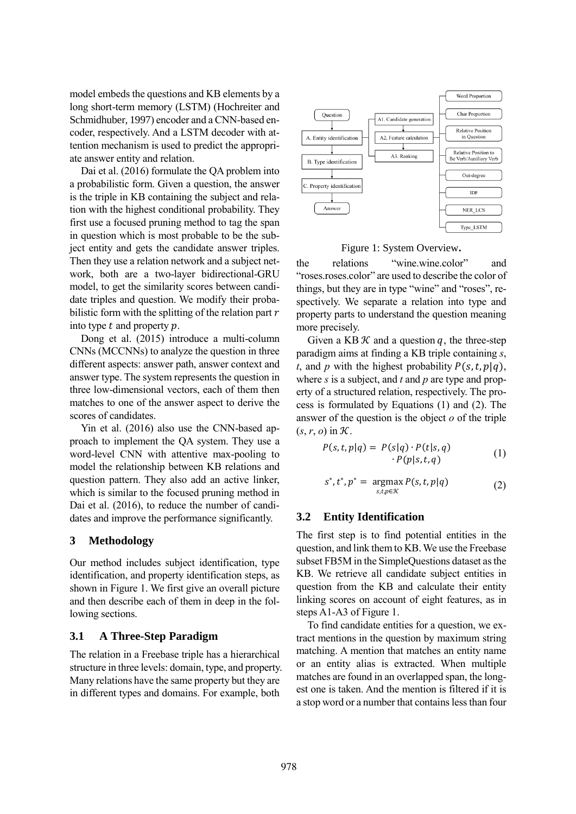model embeds the questions and KB elements by a long short-term memory (LSTM) (Hochreiter and Schmidhuber, 1997) encoder and a CNN-based encoder, respectively. And a LSTM decoder with attention mechanism is used to predict the appropriate answer entity and relation.

Dai et al. (2016) formulate the QA problem into a probabilistic form. Given a question, the answer is the triple in KB containing the subject and relation with the highest conditional probability. They first use a focused pruning method to tag the span in question which is most probable to be the subject entity and gets the candidate answer triples. Then they use a relation network and a subject network, both are a two-layer bidirectional-GRU model, to get the similarity scores between candidate triples and question. We modify their probabilistic form with the splitting of the relation part  $r$ into type  $t$  and property  $p$ .

Dong et al. (2015) introduce a multi-column CNNs (MCCNNs) to analyze the question in three different aspects: answer path, answer context and answer type. The system represents the question in three low-dimensional vectors, each of them then matches to one of the answer aspect to derive the scores of candidates.

Yin et al. (2016) also use the CNN-based approach to implement the QA system. They use a word-level CNN with attentive max-pooling to model the relationship between KB relations and question pattern. They also add an active linker, which is similar to the focused pruning method in Dai et al. (2016), to reduce the number of candidates and improve the performance significantly.

## **3 Methodology**

Our method includes subject identification, type identification, and property identification steps, as shown in Figure 1. We first give an overall picture and then describe each of them in deep in the following sections.

## **3.1 A Three-Step Paradigm**

The relation in a Freebase triple has a hierarchical structure in three levels: domain, type, and property. Many relations have the same property but they are in different types and domains. For example, both



Figure 1: System Overview**.**

the relations "wine.wine.color" and "roses.roses.color" are used to describe the color of things, but they are in type "wine" and "roses", respectively. We separate a relation into type and property parts to understand the question meaning more precisely.

Given a KB  $K$  and a question q, the three-step paradigm aims at finding a KB triple containing *s*, *t*, and *p* with the highest probability  $P(s, t, p | q)$ , where *s* is a subject, and *t* and *p* are type and property of a structured relation, respectively. The process is formulated by Equations (1) and (2). The answer of the question is the object *o* of the triple  $(s, r, o)$  in  $\mathcal{K}$ .

$$
P(s,t,p|q) = P(s|q) \cdot P(t|s,q)
$$
  
 
$$
\cdot P(p|s,t,q)
$$
 (1)

$$
s^*, t^*, p^* = \underset{s,t,p \in \mathcal{K}}{\operatorname{argmax}} P(s,t,p|q) \tag{2}
$$

# **3.2 Entity Identification**

The first step is to find potential entities in the question, and link them to KB.We use the Freebase subset FB5M in the SimpleQuestions dataset as the KB. We retrieve all candidate subject entities in question from the KB and calculate their entity linking scores on account of eight features, as in steps A1-A3 of Figure 1.

To find candidate entities for a question, we extract mentions in the question by maximum string matching. A mention that matches an entity name or an entity alias is extracted. When multiple matches are found in an overlapped span, the longest one is taken. And the mention is filtered if it is a stop word or a number that contains less than four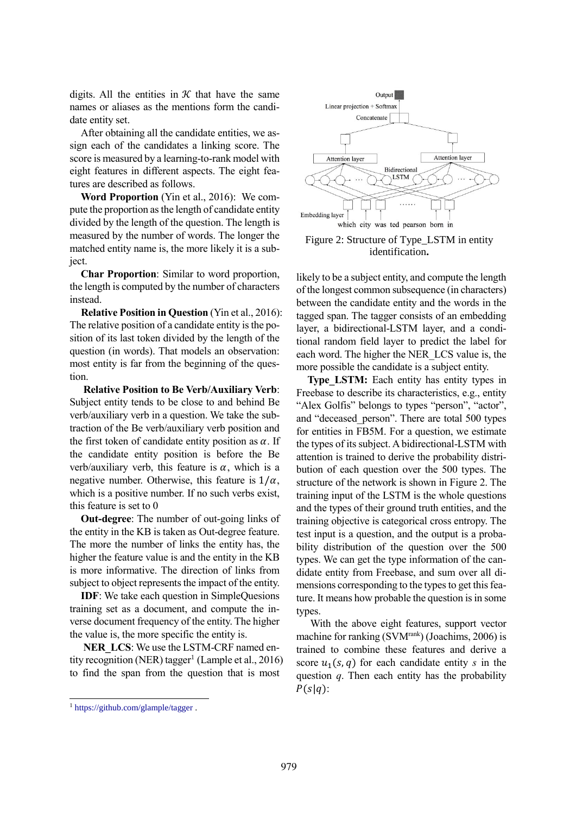digits. All the entities in  $K$  that have the same names or aliases as the mentions form the candidate entity set.

After obtaining all the candidate entities, we assign each of the candidates a linking score. The score is measured by a learning-to-rank model with eight features in different aspects. The eight features are described as follows.

**Word Proportion** (Yin et al., 2016): We compute the proportion as the length of candidate entity divided by the length of the question. The length is measured by the number of words. The longer the matched entity name is, the more likely it is a subject.

**Char Proportion**: Similar to word proportion, the length is computed by the number of characters instead.

**Relative Position in Question** (Yin et al., 2016): The relative position of a candidate entity is the position of its last token divided by the length of the question (in words). That models an observation: most entity is far from the beginning of the question.

**Relative Position to Be Verb/Auxiliary Verb**: Subject entity tends to be close to and behind Be verb/auxiliary verb in a question. We take the subtraction of the Be verb/auxiliary verb position and the first token of candidate entity position as  $\alpha$ . If the candidate entity position is before the Be verb/auxiliary verb, this feature is  $\alpha$ , which is a negative number. Otherwise, this feature is  $1/\alpha$ , which is a positive number. If no such verbs exist, this feature is set to 0

**Out-degree**: The number of out-going links of the entity in the KB is taken as Out-degree feature. The more the number of links the entity has, the higher the feature value is and the entity in the KB is more informative. The direction of links from subject to object represents the impact of the entity.

**IDF**: We take each question in SimpleQuesions training set as a document, and compute the inverse document frequency of the entity. The higher the value is, the more specific the entity is.

**NER\_LCS**: We use the LSTM-CRF named entity recognition (NER) tagger<sup>1</sup> (Lample et al., 2016) to find the span from the question that is most



Figure 2: Structure of Type\_LSTM in entity identification**.**

likely to be a subject entity, and compute the length of the longest common subsequence (in characters) between the candidate entity and the words in the tagged span. The tagger consists of an embedding layer, a bidirectional-LSTM layer, and a conditional random field layer to predict the label for each word. The higher the NER\_LCS value is, the more possible the candidate is a subject entity.

**Type LSTM:** Each entity has entity types in Freebase to describe its characteristics, e.g., entity "Alex Golfis" belongs to types "person", "actor", and "deceased\_person". There are total 500 types for entities in FB5M. For a question, we estimate the types of its subject. Abidirectional-LSTM with attention is trained to derive the probability distribution of each question over the 500 types. The structure of the network is shown in Figure 2. The training input of the LSTM is the whole questions and the types of their ground truth entities, and the training objective is categorical cross entropy. The test input is a question, and the output is a probability distribution of the question over the 500 types. We can get the type information of the candidate entity from Freebase, and sum over all dimensions corresponding to the types to get this feature. It means how probable the question is in some types.

With the above eight features, support vector machine for ranking (SVM<sup>rank</sup>) (Joachims, 2006) is trained to combine these features and derive a score  $u_1(s, q)$  for each candidate entity *s* in the question *q*. Then each entity has the probability  $P(s|q)$ :

1

<sup>1</sup> https://github.com/glample/tagger .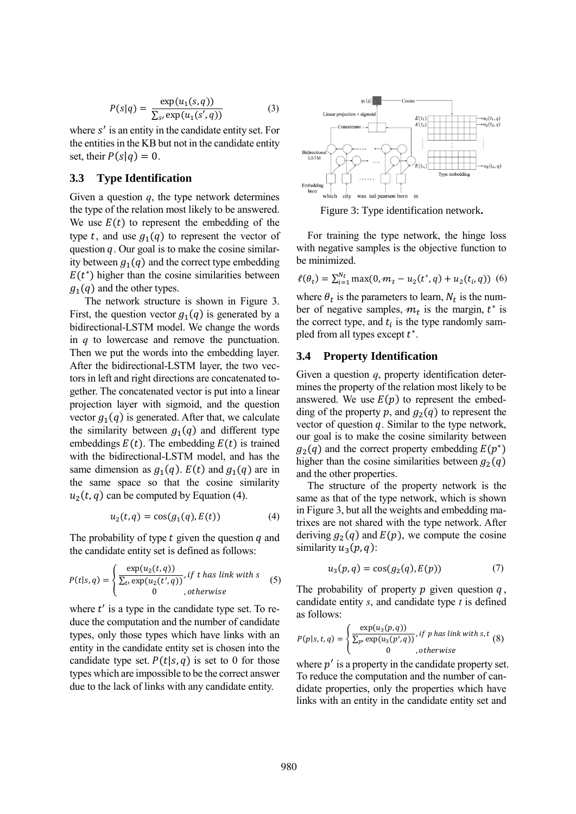$$
P(s|q) = \frac{\exp(u_1(s,q))}{\sum_{s'} \exp(u_1(s',q))}
$$
(3)

where s' is an entity in the candidate entity set. For the entities in the KB but not in the candidate entity set, their  $P(s|q) = 0$ .

#### **3.3 Type Identification**

Given a question *q*, the type network determines the type of the relation most likely to be answered. We use  $E(t)$  to represent the embedding of the type t, and use  $g_1(q)$  to represent the vector of question  $q$ . Our goal is to make the cosine similarity between  $q_1(q)$  and the correct type embedding  $E(t^*)$  higher than the cosine similarities between  $g_1(q)$  and the other types.

The network structure is shown in Figure 3. First, the question vector  $g_1(q)$  is generated by a bidirectional-LSTM model. We change the words in *q* to lowercase and remove the punctuation. Then we put the words into the embedding layer. After the bidirectional-LSTM layer, the two vectors in left and right directions are concatenated together. The concatenated vector is put into a linear projection layer with sigmoid, and the question vector  $g_1(q)$  is generated. After that, we calculate the similarity between  $g_1(q)$  and different type embeddings  $E(t)$ . The embedding  $E(t)$  is trained with the bidirectional-LSTM model, and has the same dimension as  $g_1(q)$ .  $E(t)$  and  $g_1(q)$  are in the same space so that the cosine similarity  $u_2(t, q)$  can be computed by Equation (4).

$$
u_2(t,q) = \cos(g_1(q), E(t))\tag{4}
$$

The probability of type  $t$  given the question  $q$  and the candidate entity set is defined as follows:

$$
P(t|s,q) = \begin{cases} \frac{\exp(u_2(t,q))}{\sum_{t'} \exp(u_2(t',q))}, & \text{if } t \text{ has link with } s\\ 0, & \text{otherwise} \end{cases} \tag{5}
$$

where  $t'$  is a type in the candidate type set. To reduce the computation and the number of candidate types, only those types which have links with an entity in the candidate entity set is chosen into the candidate type set.  $P(t|s, q)$  is set to 0 for those types which are impossible to be the correct answer due to the lack of links with any candidate entity.



Figure 3: Type identification network**.**

For training the type network, the hinge loss with negative samples is the objective function to be minimized.

$$
\ell(\theta_t) = \sum_{i=1}^{N_t} \max(0, m_t - u_2(t^*, q) + u_2(t_i, q))
$$
 (6)

where  $\theta_t$  is the parameters to learn,  $N_t$  is the number of negative samples,  $m_t$  is the margin,  $t^*$  is the correct type, and  $t_i$  is the type randomly sampled from all types except  $t^*$ .

#### **3.4 Property Identification**

Given a question *q*, property identification determines the property of the relation most likely to be answered. We use  $E(p)$  to represent the embedding of the property p, and  $g_2(q)$  to represent the vector of question  $q$ . Similar to the type network, our goal is to make the cosine similarity between  $g_2(q)$  and the correct property embedding  $E(p^*)$ higher than the cosine similarities between  $q_2(q)$ and the other properties.

The structure of the property network is the same as that of the type network, which is shown in Figure 3, but all the weights and embedding matrixes are not shared with the type network. After deriving  $g_2(q)$  and  $E(p)$ , we compute the cosine similarity  $u_3(p, q)$ :

$$
u_3(p,q) = \cos(g_2(q), E(p))\tag{7}
$$

The probability of property  $p$  given question  $q$ , candidate entity *s*, and candidate type *t* is defined as follows:

$$
P(p|s,t,q) = \begin{cases} \frac{\exp(u_3(p,q))}{\sum_{p'} \exp(u_3(p',q))}, & \text{if } p \text{ has link with } s, t \\ 0, & \text{otherwise} \end{cases} (8)
$$

where  $p'$  is a property in the candidate property set. To reduce the computation and the number of candidate properties, only the properties which have links with an entity in the candidate entity set and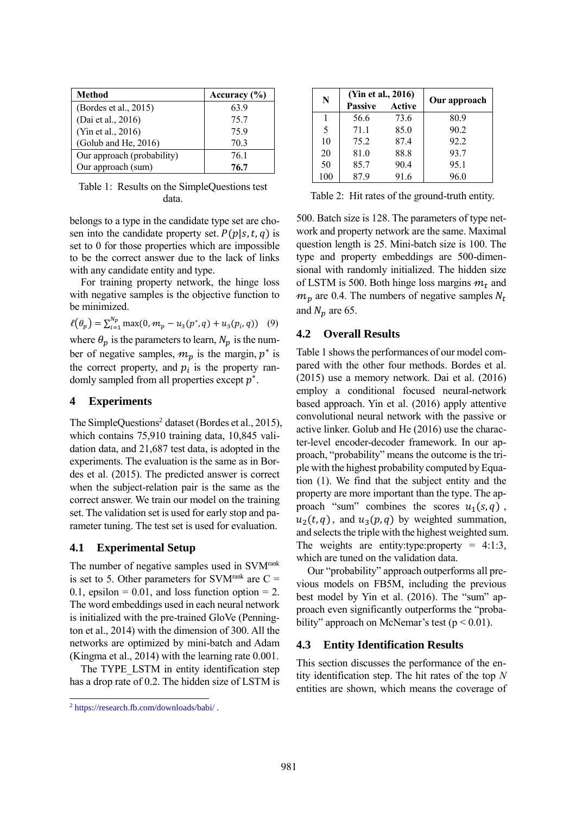| <b>Method</b>              | Accuracy $(\% )$ |
|----------------------------|------------------|
| (Bordes et al., 2015)      | 639              |
| (Dai et al., 2016)         | 75.7             |
| (Yin et al., 2016)         | 759              |
| (Golub and He, 2016)       | 70.3             |
| Our approach (probability) | 761              |
| Our approach (sum)         | 76.7             |

Table 1: Results on the SimpleQuestions test data.

belongs to a type in the candidate type set are chosen into the candidate property set.  $P(p|s, t, q)$  is set to 0 for those properties which are impossible to be the correct answer due to the lack of links with any candidate entity and type.

For training property network, the hinge loss with negative samples is the objective function to be minimized.

$$
\ell(\theta_p) = \sum_{i=1}^{N_p} \max(0, m_p - u_3(p^*, q) + u_3(p_i, q))
$$
 (9)

where  $\theta_p$  is the parameters to learn,  $N_p$  is the number of negative samples,  $m_p$  is the margin,  $p^*$  is the correct property, and  $p_i$  is the property randomly sampled from all properties except  $p^*$ .

#### **4 Experiments**

The SimpleQuestions<sup>2</sup> dataset (Bordes et al., 2015), which contains 75,910 training data, 10,845 validation data, and 21,687 test data, is adopted in the experiments. The evaluation is the same as in Bordes et al. (2015). The predicted answer is correct when the subject-relation pair is the same as the correct answer. We train our model on the training set. The validation set is used for early stop and parameter tuning. The test set is used for evaluation.

## **4.1 Experimental Setup**

The number of negative samples used in SVMrank is set to 5. Other parameters for SVM<sup>rank</sup> are  $C =$  $0.1$ , epsilon = 0.01, and loss function option = 2. The word embeddings used in each neural network is initialized with the pre-trained GloVe (Pennington et al., 2014) with the dimension of 300. All the networks are optimized by mini-batch and Adam (Kingma et al., 2014) with the learning rate 0.001.

The TYPE LSTM in entity identification step has a drop rate of 0.2. The hidden size of LSTM is

| N   | (Yin et al., 2016) |        |              |  |  |
|-----|--------------------|--------|--------------|--|--|
|     | <b>Passive</b>     | Active | Our approach |  |  |
| 1   | 56.6               | 73.6   | 80.9         |  |  |
| 5   | 711                | 85.0   | 90.2         |  |  |
| 10  | 75.2               | 87.4   | 92.2         |  |  |
| 20  | 81.0               | 88.8   | 93.7         |  |  |
| 50  | 85.7               | 90.4   | 95.1         |  |  |
| 100 | 87 9               | 91.6   | 96.0         |  |  |

Table 2: Hit rates of the ground-truth entity.

500. Batch size is 128. The parameters of type network and property network are the same. Maximal question length is 25. Mini-batch size is 100. The type and property embeddings are 500-dimensional with randomly initialized. The hidden size of LSTM is 500. Both hinge loss margins  $m_t$  and  $m_p$  are 0.4. The numbers of negative samples  $N_t$ and  $N_p$  are 65.

## **4.2 Overall Results**

Table 1 shows the performances of our model compared with the other four methods. Bordes et al. (2015) use a memory network. Dai et al. (2016) employ a conditional focused neural-network based approach. Yin et al. (2016) apply attentive convolutional neural network with the passive or active linker. Golub and He (2016) use the character-level encoder-decoder framework. In our approach, "probability" means the outcome is the triple with the highest probability computed by Equation (1). We find that the subject entity and the property are more important than the type. The approach "sum" combines the scores  $u_1(s, q)$ ,  $u_2(t, q)$ , and  $u_3(p, q)$  by weighted summation, and selects the triple with the highest weighted sum. The weights are entity:type:property =  $4:1:3$ , which are tuned on the validation data.

Our "probability" approach outperforms all previous models on FB5M, including the previous best model by Yin et al. (2016). The "sum" approach even significantly outperforms the "probability" approach on McNemar's test ( $p < 0.01$ ).

## **4.3 Entity Identification Results**

This section discusses the performance of the entity identification step. The hit rates of the top *N* entities are shown, which means the coverage of

<sup>1</sup> <sup>2</sup> https://research.fb.com/downloads/babi/ .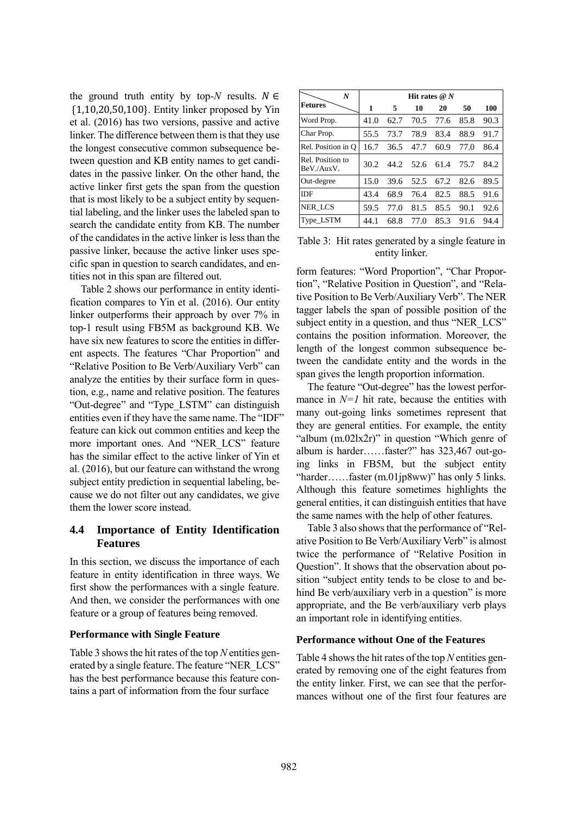the ground truth entity by top- $N$  results.  $N \in$ {1,10,20,50,100}. Entity linker proposed by Yin et al. (2016) has two versions, passive and active linker. The difference between them is that they use the longest consecutive common subsequence between question and KB entity names to get candidates in the passive linker. On the other hand, the active linker first gets the span from the question that is most likely to be a subject entity by sequential labeling, and the linker uses the labeled span to search the candidate entity from KB. The number of the candidates in the active linker is less than the passive linker, because the active linker uses specific span in question to search candidates, and entities not in this span are filtered out.

Table 2 shows our performance in entity identification compares to Yin et al. (2016). Our entity linker outperforms their approach by over 7% in top-1 result using FB5M as background KB. We have six new features to score the entities in different aspects. The features "Char Proportion" and "Relative Position to Be Verb/Auxiliary Verb" can analyze the entities by their surface form in question, e.g., name and relative position. The features "Out-degree" and "Type\_LSTM" can distinguish entities even if they have the same name. The "IDF" feature can kick out common entities and keep the more important ones. And "NER\_LCS" feature has the similar effect to the active linker of Yin et al. (2016), but our feature can withstand the wrong subject entity prediction in sequential labeling, because we do not filter out any candidates, we give them the lower score instead.

# **4.4 Importance of Entity Identification Features**

In this section, we discuss the importance of each feature in entity identification in three ways. We first show the performances with a single feature. And then, we consider the performances with one feature or a group of features being removed.

## **Performance with Single Feature**

Table 3 shows the hit rates of the top *N* entities generated by a single feature. The feature "NER\_LCS" has the best performance because this feature contains a part of information from the four surface

| $\boldsymbol{N}$               | Hit rates $@N$ |      |      |      |      |      |
|--------------------------------|----------------|------|------|------|------|------|
| <b>Fetures</b>                 | 1              | 5    | 10   | 20   | 50   | 100  |
| Word Prop.                     | 41.0           | 62.7 | 70.5 | 77.6 | 85.8 | 90.3 |
| Char Prop.                     | 55.5           | 73.7 | 78.9 | 83.4 | 88.9 | 91.7 |
| Rel. Position in O             | 16.7           | 36.5 | 47.7 | 60.9 | 77.0 | 86.4 |
| Rel. Position to<br>BeV./AuxV. | 30.2           | 44.2 | 52.6 | 61.4 | 75.7 | 84.2 |
| Out-degree                     | 15.0           | 39.6 | 52.5 | 67.2 | 82.6 | 89.5 |
| <b>IDF</b>                     | 43.4           | 68.9 | 76.4 | 82.5 | 88.5 | 91.6 |
| <b>NER LCS</b>                 | 59.5           | 77.O | 81.5 | 85.5 | 90.1 | 92.6 |
| Type_LSTM                      | 44.1           | 68.8 | 77.0 | 85.3 | 91.6 | 94.4 |

Table 3: Hit rates generated by a single feature in entity linker.

form features: "Word Proportion", "Char Proportion", "Relative Position in Question", and "Relative Position to Be Verb/Auxiliary Verb". The NER tagger labels the span of possible position of the subject entity in a question, and thus "NER\_LCS" contains the position information. Moreover, the length of the longest common subsequence between the candidate entity and the words in the span gives the length proportion information.

The feature "Out-degree" has the lowest performance in  $N=1$  hit rate, because the entities with many out-going links sometimes represent that they are general entities. For example, the entity "album (m.02lx2r)" in question "Which genre of album is harder……faster?" has 323,467 out-going links in FB5M, but the subject entity "harder……faster (m.01jp8ww)" has only 5 links. Although this feature sometimes highlights the general entities, it can distinguish entities that have the same names with the help of other features.

Table 3 also shows that the performance of "Relative Position to Be Verb/Auxiliary Verb" is almost twice the performance of "Relative Position in Question". It shows that the observation about position "subject entity tends to be close to and behind Be verb/auxiliary verb in a question" is more appropriate, and the Be verb/auxiliary verb plays an important role in identifying entities.

#### **Performance without One of the Features**

Table 4 shows the hit rates of the top *N* entities generated by removing one of the eight features from the entity linker. First, we can see that the performances without one of the first four features are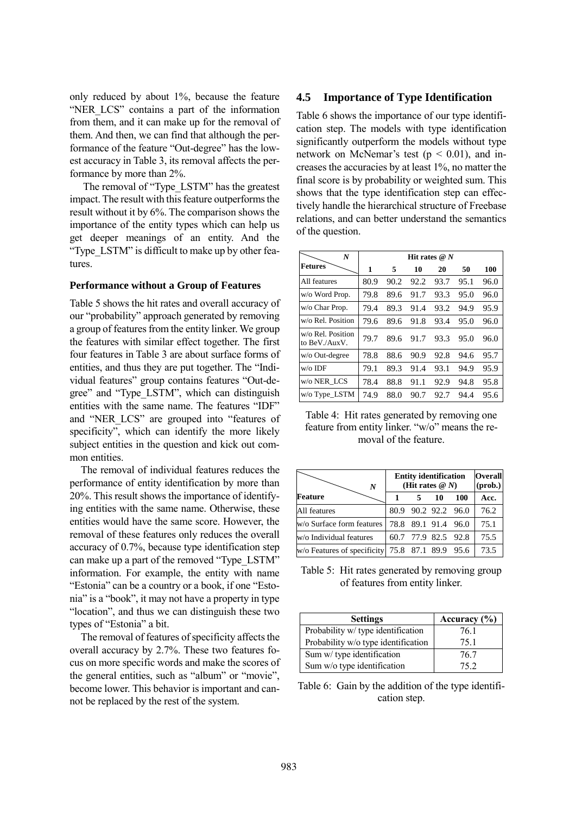only reduced by about 1%, because the feature "NER LCS" contains a part of the information from them, and it can make up for the removal of them. And then, we can find that although the performance of the feature "Out-degree" has the lowest accuracy in Table 3, its removal affects the performance by more than 2%.

The removal of "Type\_LSTM" has the greatest impact. The result with this feature outperforms the result without it by 6%. The comparison shows the importance of the entity types which can help us get deeper meanings of an entity. And the "Type\_LSTM" is difficult to make up by other features.

#### **Performance without a Group of Features**

Table 5 shows the hit rates and overall accuracy of our "probability" approach generated by removing a group of features from the entity linker. We group the features with similar effect together. The first four features in Table 3 are about surface forms of entities, and thus they are put together. The "Individual features" group contains features "Out-degree" and "Type\_LSTM", which can distinguish entities with the same name. The features "IDF" and "NER\_LCS" are grouped into "features of specificity", which can identify the more likely subject entities in the question and kick out common entities.

The removal of individual features reduces the performance of entity identification by more than 20%. This result shows the importance of identifying entities with the same name. Otherwise, these entities would have the same score. However, the removal of these features only reduces the overall accuracy of 0.7%, because type identification step can make up a part of the removed "Type\_LSTM" information. For example, the entity with name "Estonia" can be a country or a book, if one "Estonia" is a "book", it may not have a property in type "location", and thus we can distinguish these two types of "Estonia" a bit.

The removal of features of specificity affects the overall accuracy by 2.7%. These two features focus on more specific words and make the scores of the general entities, such as "album" or "movie", become lower. This behavior is important and cannot be replaced by the rest of the system.

#### **4.5 Importance of Type Identification**

Table 6 shows the importance of our type identification step. The models with type identification significantly outperform the models without type network on McNemar's test ( $p < 0.01$ ), and increases the accuracies by at least 1%, no matter the final score is by probability or weighted sum. This shows that the type identification step can effectively handle the hierarchical structure of Freebase relations, and can better understand the semantics of the question.

| $\boldsymbol{N}$                   | Hit rates $@N$ |      |      |      |      |      |
|------------------------------------|----------------|------|------|------|------|------|
| Fetures                            | 1              | 5    | 10   | 20   | 50   | 100  |
| All features                       | 80.9           | 90.2 | 92.2 | 93.7 | 95.1 | 96.0 |
| w/o Word Prop.                     | 79.8           | 89.6 | 91.7 | 93.3 | 95.0 | 96.0 |
| w/o Char Prop.                     | 79.4           | 89.3 | 91.4 | 93.2 | 94.9 | 95.9 |
| w/o Rel. Position                  | 79.6           | 89.6 | 91.8 | 93.4 | 95.0 | 96.0 |
| w/o Rel. Position<br>to BeV./AuxV. | 79.7           | 89.6 | 91.7 | 93.3 | 95.0 | 96.0 |
| w/o Out-degree                     | 78.8           | 88.6 | 90.9 | 92.8 | 94.6 | 95.7 |
| w/o IDF                            | 79.1           | 89.3 | 91.4 | 93.1 | 94.9 | 95.9 |
| w/o NER LCS                        | 78.4           | 88.8 | 91.1 | 92.9 | 94.8 | 95.8 |
| w/o Type_LSTM                      | 74.9           | 88.0 | 90.7 | 92.7 | 94.4 | 95.6 |

Table 4: Hit rates generated by removing one feature from entity linker. "w/o" means the removal of the feature.

| N                                               | <b>Entity identification</b><br>(Hit rates $@N$ ) |  |                     | Overall<br>(prob.) |      |
|-------------------------------------------------|---------------------------------------------------|--|---------------------|--------------------|------|
| Feature                                         |                                                   |  | 10                  | 100                | Acc. |
| All features                                    |                                                   |  | 80.9 90.2 92.2 96.0 |                    | 76.2 |
| w/o Surface form features                       |                                                   |  | 78.8 89.1 91.4 96.0 |                    | 75.1 |
| w/o Individual features                         |                                                   |  | 60.7 77.9 82.5 92.8 |                    | 75.5 |
| w/o Features of specificity 75.8 87.1 89.9 95.6 |                                                   |  |                     |                    | 73.5 |

Table 5: Hit rates generated by removing group of features from entity linker.

| <b>Settings</b>                     | Accuracy $(\% )$ |
|-------------------------------------|------------------|
| Probability w/ type identification  | 76.1             |
| Probability w/o type identification | 75.1             |
| Sum w/type identification           | 76.7             |
| Sum w/o type identification         | 75 2             |

Table 6: Gain by the addition of the type identification step.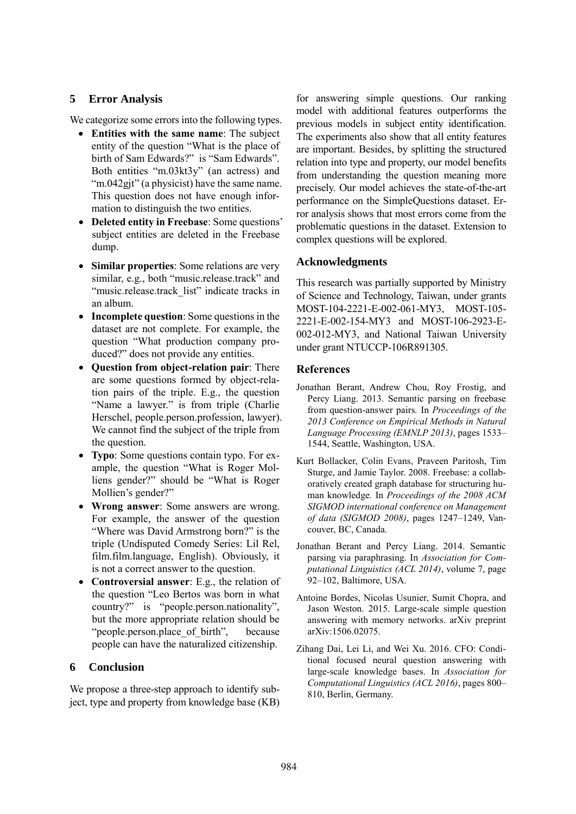# **5 Error Analysis**

We categorize some errors into the following types.

- **Entities with the same name**: The subject entity of the question "What is the place of birth of Sam Edwards?" is "Sam Edwards". Both entities "m.03kt3y" (an actress) and "m.042gjt" (a physicist) have the same name. This question does not have enough information to distinguish the two entities.
- **Deleted entity in Freebase**: Some questions' subject entities are deleted in the Freebase dump.
- **Similar properties**: Some relations are very similar, e.g., both "music.release.track" and "music.release.track\_list" indicate tracks in an album.
- **Incomplete question**: Some questions in the dataset are not complete. For example, the question "What production company produced?" does not provide any entities.
- **Question from object-relation pair**: There are some questions formed by object-relation pairs of the triple. E.g., the question "Name a lawyer." is from triple (Charlie Herschel, people.person.profession, lawyer). We cannot find the subject of the triple from the question.
- **Typo**: Some questions contain typo. For example, the question "What is Roger Molliens gender?" should be "What is Roger Mollien's gender?"
- **Wrong answer**: Some answers are wrong. For example, the answer of the question "Where was David Armstrong born?" is the triple (Undisputed Comedy Series: Lil Rel, film.film.language, English). Obviously, it is not a correct answer to the question.
- **Controversial answer**: E.g., the relation of the question "Leo Bertos was born in what country?" is "people.person.nationality", but the more appropriate relation should be "people.person.place of birth", because people can have the naturalized citizenship.

# **6 Conclusion**

We propose a three-step approach to identify subject, type and property from knowledge base (KB)

for answering simple questions. Our ranking model with additional features outperforms the previous models in subject entity identification. The experiments also show that all entity features are important. Besides, by splitting the structured relation into type and property, our model benefits from understanding the question meaning more precisely. Our model achieves the state-of-the-art performance on the SimpleQuestions dataset. Error analysis shows that most errors come from the problematic questions in the dataset. Extension to complex questions will be explored.

# **Acknowledgments**

This research was partially supported by Ministry of Science and Technology, Taiwan, under grants MOST-104-2221-E-002-061-MY3, MOST-105- 2221-E-002-154-MY3 and MOST-106-2923-E-002-012-MY3, and National Taiwan University under grant NTUCCP-106R891305.

# **References**

- Jonathan Berant, Andrew Chou, Roy Frostig, and Percy Liang. 2013. Semantic parsing on freebase from question-answer pairs*.* In *Proceedings of the 2013 Conference on Empirical Methods in Natural Language Processing (EMNLP 2013)*, pages 1533– 1544, Seattle, Washington, USA.
- Kurt Bollacker, Colin Evans, Praveen Paritosh, Tim Sturge, and Jamie Taylor. 2008. Freebase: a collaboratively created graph database for structuring human knowledge*.* In *Proceedings of the 2008 ACM SIGMOD international conference on Management of data (SIGMOD 2008)*, pages 1247–1249, Vancouver, BC, Canada.
- Jonathan Berant and Percy Liang. 2014. Semantic parsing via paraphrasing. In *Association for Computational Linguistics (ACL 2014)*, volume 7, page 92–102, Baltimore, USA.
- Antoine Bordes, Nicolas Usunier, Sumit Chopra, and Jason Weston. 2015. Large-scale simple question answering with memory networks. arXiv preprint arXiv:1506.02075.
- Zihang Dai, Lei Li, and Wei Xu. 2016. CFO: Conditional focused neural question answering with large-scale knowledge bases. In *Association for Computational Linguistics (ACL 2016)*, pages 800– 810, Berlin, Germany.